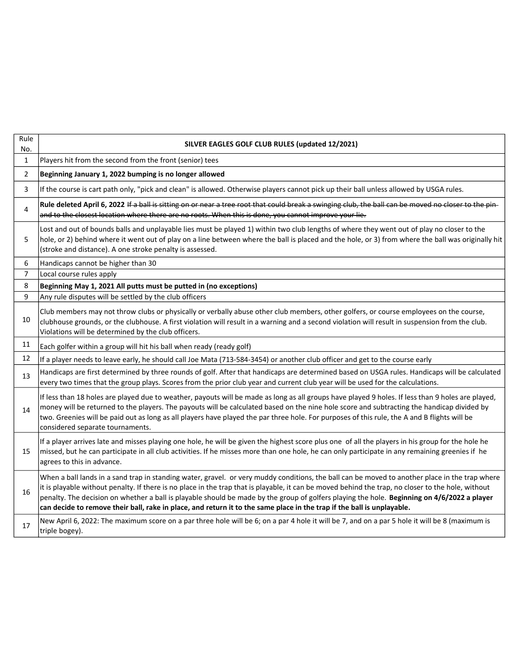| Rule<br>No.    | SILVER EAGLES GOLF CLUB RULES (updated 12/2021)                                                                                                                                                                                                                                                                                                                                                                                                                                                                                                                               |
|----------------|-------------------------------------------------------------------------------------------------------------------------------------------------------------------------------------------------------------------------------------------------------------------------------------------------------------------------------------------------------------------------------------------------------------------------------------------------------------------------------------------------------------------------------------------------------------------------------|
| $\mathbf{1}$   | Players hit from the second from the front (senior) tees                                                                                                                                                                                                                                                                                                                                                                                                                                                                                                                      |
| $\overline{2}$ | Beginning January 1, 2022 bumping is no longer allowed                                                                                                                                                                                                                                                                                                                                                                                                                                                                                                                        |
| 3              | If the course is cart path only, "pick and clean" is allowed. Otherwise players cannot pick up their ball unless allowed by USGA rules.                                                                                                                                                                                                                                                                                                                                                                                                                                       |
| 4              | Rule deleted April 6, 2022 If a ball is sitting on or near a tree root that could break a swinging club, the ball can be moved no closer to the pin-<br>and to the closest location where there are no roots. When this is done, you cannot improve your lie-                                                                                                                                                                                                                                                                                                                 |
| 5              | Lost and out of bounds balls and unplayable lies must be played 1) within two club lengths of where they went out of play no closer to the<br>hole, or 2) behind where it went out of play on a line between where the ball is placed and the hole, or 3) from where the ball was originally hit<br>(stroke and distance). A one stroke penalty is assessed.                                                                                                                                                                                                                  |
| 6              | Handicaps cannot be higher than 30                                                                                                                                                                                                                                                                                                                                                                                                                                                                                                                                            |
| $\overline{7}$ | Local course rules apply                                                                                                                                                                                                                                                                                                                                                                                                                                                                                                                                                      |
| 8              | Beginning May 1, 2021 All putts must be putted in (no exceptions)                                                                                                                                                                                                                                                                                                                                                                                                                                                                                                             |
| 9              | Any rule disputes will be settled by the club officers                                                                                                                                                                                                                                                                                                                                                                                                                                                                                                                        |
| 10             | Club members may not throw clubs or physically or verbally abuse other club members, other golfers, or course employees on the course,<br>clubhouse grounds, or the clubhouse. A first violation will result in a warning and a second violation will result in suspension from the club.<br>Violations will be determined by the club officers.                                                                                                                                                                                                                              |
| 11             | Each golfer within a group will hit his ball when ready (ready golf)                                                                                                                                                                                                                                                                                                                                                                                                                                                                                                          |
| 12             | If a player needs to leave early, he should call Joe Mata (713-584-3454) or another club officer and get to the course early                                                                                                                                                                                                                                                                                                                                                                                                                                                  |
| 13             | Handicaps are first determined by three rounds of golf. After that handicaps are determined based on USGA rules. Handicaps will be calculated<br>every two times that the group plays. Scores from the prior club year and current club year will be used for the calculations.                                                                                                                                                                                                                                                                                               |
| 14             | If less than 18 holes are played due to weather, payouts will be made as long as all groups have played 9 holes. If less than 9 holes are played,<br>money will be returned to the players. The payouts will be calculated based on the nine hole score and subtracting the handicap divided by<br>two. Greenies will be paid out as long as all players have played the par three hole. For purposes of this rule, the A and B flights will be<br>considered separate tournaments.                                                                                           |
| 15             | If a player arrives late and misses playing one hole, he will be given the highest score plus one of all the players in his group for the hole he<br>missed, but he can participate in all club activities. If he misses more than one hole, he can only participate in any remaining greenies if he<br>agrees to this in advance.                                                                                                                                                                                                                                            |
| 16             | When a ball lands in a sand trap in standing water, gravel. or very muddy conditions, the ball can be moved to another place in the trap where<br>it is playable without penalty. If there is no place in the trap that is playable, it can be moved behind the trap, no closer to the hole, without<br>penalty. The decision on whether a ball is playable should be made by the group of golfers playing the hole. Beginning on 4/6/2022 a player<br>can decide to remove their ball, rake in place, and return it to the same place in the trap if the ball is unplayable. |
| 17             | New April 6, 2022: The maximum score on a par three hole will be 6; on a par 4 hole it will be 7, and on a par 5 hole it will be 8 (maximum is<br>triple bogey).                                                                                                                                                                                                                                                                                                                                                                                                              |